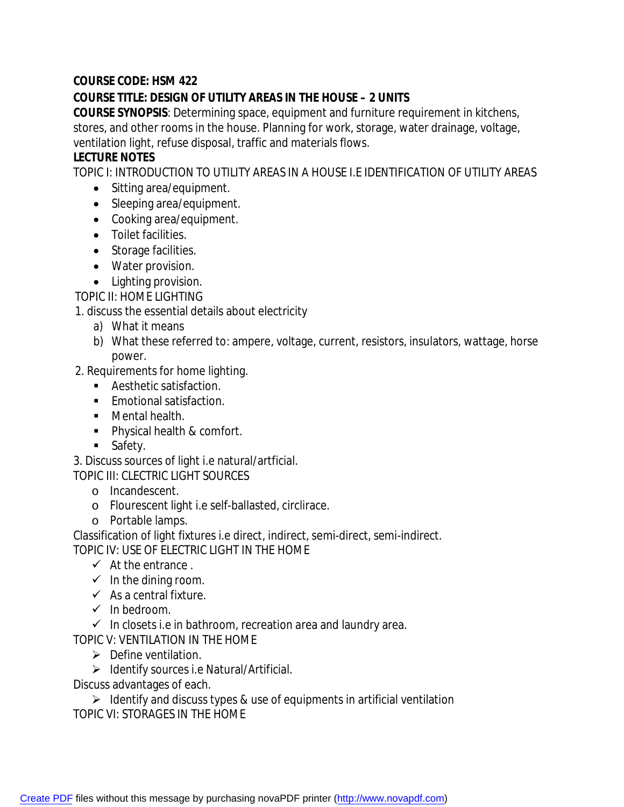## **COURSE CODE: HSM 422**

## **COURSE TITLE: DESIGN OF UTILITY AREAS IN THE HOUSE – 2 UNITS**

**COURSE SYNOPSIS**: Determining space, equipment and furniture requirement in kitchens, stores, and other rooms in the house. Planning for work, storage, water drainage, voltage, ventilation light, refuse disposal, traffic and materials flows.

## **LECTURE NOTES**

TOPIC I: INTRODUCTION TO UTILITY AREAS IN A HOUSE I.E IDENTIFICATION OF UTILITY AREAS

- Sitting area/equipment.
- Sleeping area/equipment.
- Cooking area/equipment.
- Toilet facilities.
- Storage facilities.
- Water provision.
- Lighting provision.

TOPIC II: HOME LIGHTING

1. discuss the essential details about electricity

- a) What it means
- b) What these referred to: ampere, voltage, current, resistors, insulators, wattage, horse power.
- 2. Requirements for home lighting.
	- **Aesthetic satisfaction.**
	- **Emotional satisfaction.**
	- **Nental health.**
	- **Physical health & comfort.**
	- **Safety.**

3. Discuss sources of light i.e natural/artficial.

TOPIC III: CLECTRIC LIGHT SOURCES

- o Incandescent.
- o Flourescent light i.e self-ballasted, circlirace.
- o Portable lamps.
- Classification of light fixtures i.e direct, indirect, semi-direct, semi-indirect. TOPIC IV: USE OF ELECTRIC LIGHT IN THE HOME
	- $\checkmark$  At the entrance.
	- $\checkmark$  In the dining room.
	- $\checkmark$  As a central fixture.
	- $\checkmark$  In bedroom.

 $\checkmark$  In closets i.e in bathroom, recreation area and laundry area.

TOPIC V: VENTILATION IN THE HOME

- $\triangleright$  Define ventilation.
- $\triangleright$  Identify sources i.e Natural/Artificial.

Discuss advantages of each.

 $\triangleright$  Identify and discuss types & use of equipments in artificial ventilation TOPIC VI: STORAGES IN THE HOME